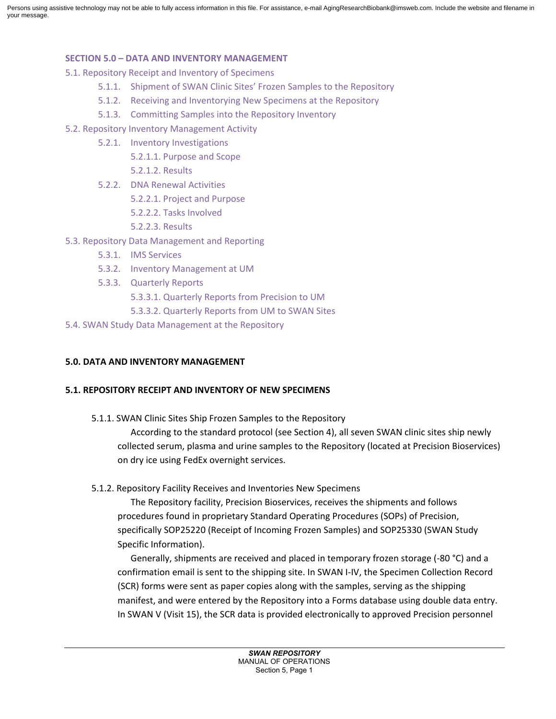Persons using assistive technology may not be able to fully access information in this file. For assistance, e-mail AgingResearchBiobank@imsweb.com. Include the website and filename in your message.

#### **SECTION 5.0 – DATA AND INVENTORY MANAGEMENT**

5.1. Repository Receipt and Inventory of Specimens

- 5.1.1. Shipment of SWAN Clinic Sites' Frozen Samples to the Repository
- 5.1.2. Receiving and Inventorying New Specimens at the Repository
- 5.1.3. Committing Samples into the Repository Inventory
- 5.2. Repository Inventory Management Activity
	- 5.2.1. Inventory Investigations
		- 5.2.1.1. Purpose and Scope
		- 5.2.1.2. Results
	- 5.2.2. DNA Renewal Activities
		- 5.2.2.1. Project and Purpose
		- 5.2.2.2. Tasks Involved
		- 5.2.2.3. Results
- 5.3. Repository Data Management and Reporting
	- 5.3.1. IMS Services
	- 5.3.2. Inventory Management at UM
	- 5.3.3. Quarterly Reports
		- 5.3.3.1. Quarterly Reports from Precision to UM
		- 5.3.3.2. Quarterly Reports from UM to SWAN Sites
- 5.4. SWAN Study Data Management at the Repository

### **5.0. DATA AND INVENTORY MANAGEMENT**

#### **5.1. REPOSITORY RECEIPT AND INVENTORY OF NEW SPECIMENS**

5.1.1. SWAN Clinic Sites Ship Frozen Samples to the Repository

According to the standard protocol (see Section 4), all seven SWAN clinic sites ship newly collected serum, plasma and urine samples to the Repository (located at Precision Bioservices) on dry ice using FedEx overnight services.

5.1.2. Repository Facility Receives and Inventories New Specimens

The Repository facility, Precision Bioservices, receives the shipments and follows procedures found in proprietary Standard Operating Procedures (SOPs) of Precision, specifically SOP25220 (Receipt of Incoming Frozen Samples) and SOP25330 (SWAN Study Specific Information).

Generally, shipments are received and placed in temporary frozen storage (-80 °C) and a confirmation email is sent to the shipping site. In SWAN I-IV, the Specimen Collection Record (SCR) forms were sent as paper copies along with the samples, serving as the shipping manifest, and were entered by the Repository into a Forms database using double data entry. In SWAN V (Visit 15), the SCR data is provided electronically to approved Precision personnel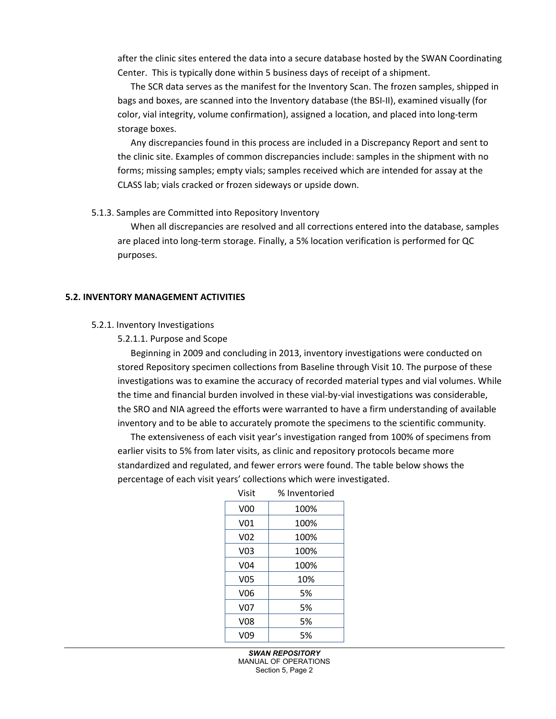after the clinic sites entered the data into a secure database hosted by the SWAN Coordinating Center. This is typically done within 5 business days of receipt of a shipment.

The SCR data serves as the manifest for the Inventory Scan. The frozen samples, shipped in bags and boxes, are scanned into the Inventory database (the BSI-II), examined visually (for color, vial integrity, volume confirmation), assigned a location, and placed into long-term storage boxes.

Any discrepancies found in this process are included in a Discrepancy Report and sent to the clinic site. Examples of common discrepancies include: samples in the shipment with no forms; missing samples; empty vials; samples received which are intended for assay at the CLASS lab; vials cracked or frozen sideways or upside down.

#### 5.1.3. Samples are Committed into Repository Inventory

When all discrepancies are resolved and all corrections entered into the database, samples are placed into long-term storage. Finally, a 5% location verification is performed for QC purposes.

#### **5.2. INVENTORY MANAGEMENT ACTIVITIES**

#### 5.2.1. Inventory Investigations

#### 5.2.1.1. Purpose and Scope

Beginning in 2009 and concluding in 2013, inventory investigations were conducted on stored Repository specimen collections from Baseline through Visit 10. The purpose of these investigations was to examine the accuracy of recorded material types and vial volumes. While the time and financial burden involved in these vial-by-vial investigations was considerable, the SRO and NIA agreed the efforts were warranted to have a firm understanding of available inventory and to be able to accurately promote the specimens to the scientific community.

The extensiveness of each visit year's investigation ranged from 100% of specimens from earlier visits to 5% from later visits, as clinic and repository protocols became more standardized and regulated, and fewer errors were found. The table below shows the percentage of each visit years' collections which were investigated.

| Visit           | % Inventoried |  |
|-----------------|---------------|--|
| V <sub>00</sub> | 100%          |  |
| V <sub>01</sub> | 100%          |  |
| V <sub>02</sub> | 100%          |  |
| V <sub>03</sub> | 100%          |  |
| V <sub>04</sub> | 100%          |  |
| V05             | 10%           |  |
| V <sub>06</sub> | 5%            |  |
| V07             | 5%            |  |
| <b>V08</b>      | 5%            |  |
| V09             | 5%            |  |

Visit % Inventoried

*SWAN REPOSITORY* MANUAL OF OPERATIONS Section 5, Page 2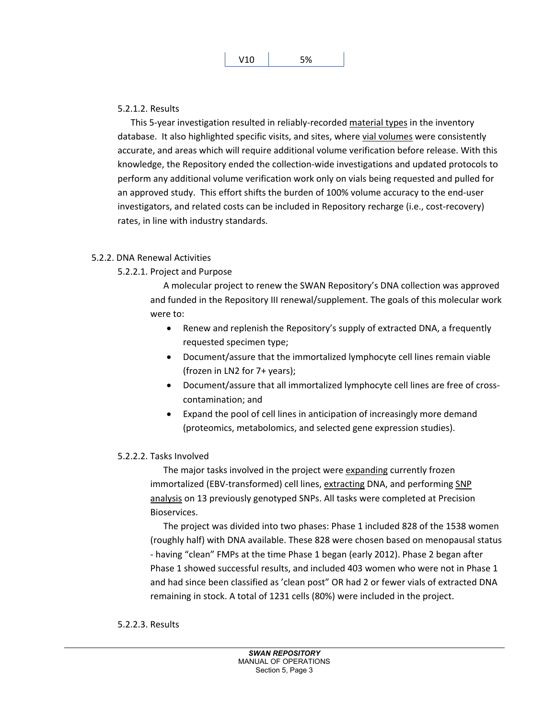#### 5.2.1.2. Results

This 5-year investigation resulted in reliably-recorded material types in the inventory database. It also highlighted specific visits, and sites, where vial volumes were consistently accurate, and areas which will require additional volume verification before release. With this knowledge, the Repository ended the collection-wide investigations and updated protocols to perform any additional volume verification work only on vials being requested and pulled for an approved study. This effort shifts the burden of 100% volume accuracy to the end-user investigators, and related costs can be included in Repository recharge (i.e., cost-recovery) rates, in line with industry standards.

#### 5.2.2. DNA Renewal Activities

## 5.2.2.1. Project and Purpose

A molecular project to renew the SWAN Repository's DNA collection was approved and funded in the Repository III renewal/supplement. The goals of this molecular work were to:

- Renew and replenish the Repository's supply of extracted DNA, a frequently requested specimen type;
- Document/assure that the immortalized lymphocyte cell lines remain viable (frozen in LN2 for 7+ years);
- Document/assure that all immortalized lymphocyte cell lines are free of crosscontamination; and
- Expand the pool of cell lines in anticipation of increasingly more demand (proteomics, metabolomics, and selected gene expression studies).

## 5.2.2.2. Tasks Involved

The major tasks involved in the project were expanding currently frozen immortalized (EBV-transformed) cell lines, extracting DNA, and performing SNP analysis on 13 previously genotyped SNPs. All tasks were completed at Precision Bioservices.

The project was divided into two phases: Phase 1 included 828 of the 1538 women (roughly half) with DNA available. These 828 were chosen based on menopausal status - having "clean" FMPs at the time Phase 1 began (early 2012). Phase 2 began after Phase 1 showed successful results, and included 403 women who were not in Phase 1 and had since been classified as 'clean post" OR had 2 or fewer vials of extracted DNA remaining in stock. A total of 1231 cells (80%) were included in the project.

#### 5.2.2.3. Results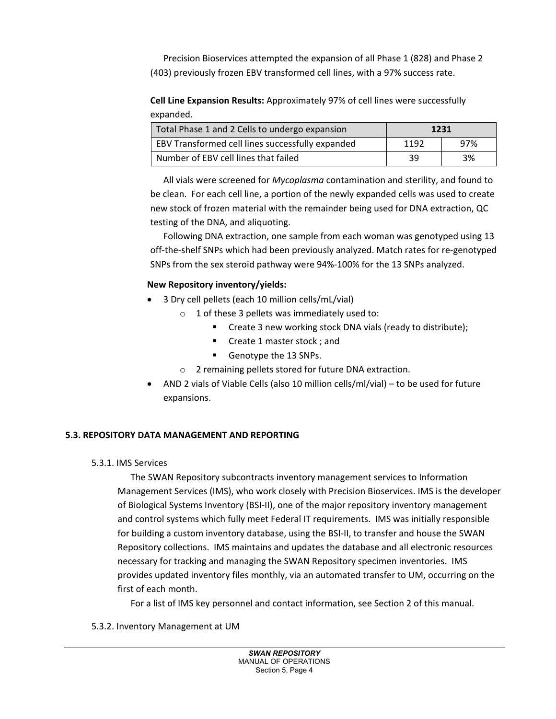Precision Bioservices attempted the expansion of all Phase 1 (828) and Phase 2 (403) previously frozen EBV transformed cell lines, with a 97% success rate.

**Cell Line Expansion Results:** Approximately 97% of cell lines were successfully expanded.

| Total Phase 1 and 2 Cells to undergo expansion   | 1231 |     |
|--------------------------------------------------|------|-----|
| EBV Transformed cell lines successfully expanded | 1192 | 97% |
| Number of EBV cell lines that failed             | -39  | 3%  |

All vials were screened for *Mycoplasma* contamination and sterility, and found to be clean. For each cell line, a portion of the newly expanded cells was used to create new stock of frozen material with the remainder being used for DNA extraction, QC testing of the DNA, and aliquoting.

Following DNA extraction, one sample from each woman was genotyped using 13 off-the-shelf SNPs which had been previously analyzed. Match rates for re-genotyped SNPs from the sex steroid pathway were 94%-100% for the 13 SNPs analyzed.

# **New Repository inventory/yields:**

- 3 Dry cell pellets (each 10 million cells/mL/vial)
	- $\circ$  1 of these 3 pellets was immediately used to:
		- **Create 3 new working stock DNA vials (ready to distribute);**
		- Create 1 master stock ; and
		- Genotype the 13 SNPs.
	- o 2 remaining pellets stored for future DNA extraction.
- AND 2 vials of Viable Cells (also 10 million cells/ml/vial) to be used for future expansions.

# **5.3. REPOSITORY DATA MANAGEMENT AND REPORTING**

5.3.1. IMS Services

The SWAN Repository subcontracts inventory management services to Information Management Services (IMS), who work closely with Precision Bioservices. IMS is the developer of Biological Systems Inventory (BSI-II), one of the major repository inventory management and control systems which fully meet Federal IT requirements. IMS was initially responsible for building a custom inventory database, using the BSI-II, to transfer and house the SWAN Repository collections. IMS maintains and updates the database and all electronic resources necessary for tracking and managing the SWAN Repository specimen inventories. IMS provides updated inventory files monthly, via an automated transfer to UM, occurring on the first of each month.

For a list of IMS key personnel and contact information, see Section 2 of this manual.

## 5.3.2. Inventory Management at UM